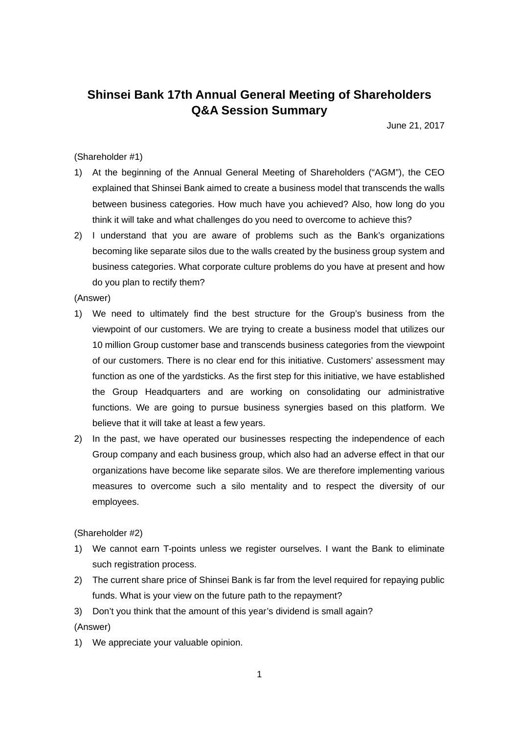## **Shinsei Bank 17th Annual General Meeting of Shareholders Q&A Session Summary**

June 21, 2017

## (Shareholder #1)

- 1) At the beginning of the Annual General Meeting of Shareholders ("AGM"), the CEO explained that Shinsei Bank aimed to create a business model that transcends the walls between business categories. How much have you achieved? Also, how long do you think it will take and what challenges do you need to overcome to achieve this?
- 2) I understand that you are aware of problems such as the Bank's organizations becoming like separate silos due to the walls created by the business group system and business categories. What corporate culture problems do you have at present and how do you plan to rectify them?

(Answer)

- 1) We need to ultimately find the best structure for the Group's business from the viewpoint of our customers. We are trying to create a business model that utilizes our 10 million Group customer base and transcends business categories from the viewpoint of our customers. There is no clear end for this initiative. Customers' assessment may function as one of the yardsticks. As the first step for this initiative, we have established the Group Headquarters and are working on consolidating our administrative functions. We are going to pursue business synergies based on this platform. We believe that it will take at least a few years.
- 2) In the past, we have operated our businesses respecting the independence of each Group company and each business group, which also had an adverse effect in that our organizations have become like separate silos. We are therefore implementing various measures to overcome such a silo mentality and to respect the diversity of our employees.

(Shareholder #2)

- 1) We cannot earn T-points unless we register ourselves. I want the Bank to eliminate such registration process.
- 2) The current share price of Shinsei Bank is far from the level required for repaying public funds. What is your view on the future path to the repayment?
- 3) Don't you think that the amount of this year's dividend is small again?

(Answer)

1) We appreciate your valuable opinion.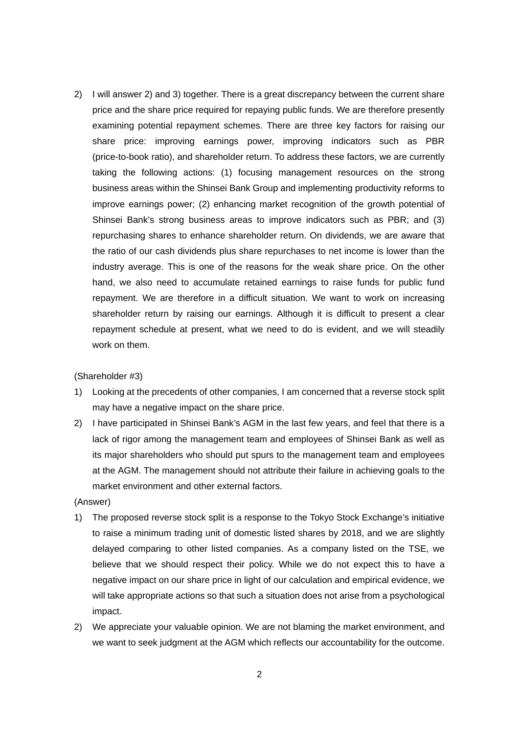2) I will answer 2) and 3) together. There is a great discrepancy between the current share price and the share price required for repaying public funds. We are therefore presently examining potential repayment schemes. There are three key factors for raising our share price: improving earnings power, improving indicators such as PBR (price-to-book ratio), and shareholder return. To address these factors, we are currently taking the following actions: (1) focusing management resources on the strong business areas within the Shinsei Bank Group and implementing productivity reforms to improve earnings power; (2) enhancing market recognition of the growth potential of Shinsei Bank's strong business areas to improve indicators such as PBR; and (3) repurchasing shares to enhance shareholder return. On dividends, we are aware that the ratio of our cash dividends plus share repurchases to net income is lower than the industry average. This is one of the reasons for the weak share price. On the other hand, we also need to accumulate retained earnings to raise funds for public fund repayment. We are therefore in a difficult situation. We want to work on increasing shareholder return by raising our earnings. Although it is difficult to present a clear repayment schedule at present, what we need to do is evident, and we will steadily work on them.

(Shareholder #3)

- 1) Looking at the precedents of other companies, I am concerned that a reverse stock split may have a negative impact on the share price.
- 2) I have participated in Shinsei Bank's AGM in the last few years, and feel that there is a lack of rigor among the management team and employees of Shinsei Bank as well as its major shareholders who should put spurs to the management team and employees at the AGM. The management should not attribute their failure in achieving goals to the market environment and other external factors.

(Answer)

- 1) The proposed reverse stock split is a response to the Tokyo Stock Exchange's initiative to raise a minimum trading unit of domestic listed shares by 2018, and we are slightly delayed comparing to other listed companies. As a company listed on the TSE, we believe that we should respect their policy. While we do not expect this to have a negative impact on our share price in light of our calculation and empirical evidence, we will take appropriate actions so that such a situation does not arise from a psychological impact.
- 2) We appreciate your valuable opinion. We are not blaming the market environment, and we want to seek judgment at the AGM which reflects our accountability for the outcome.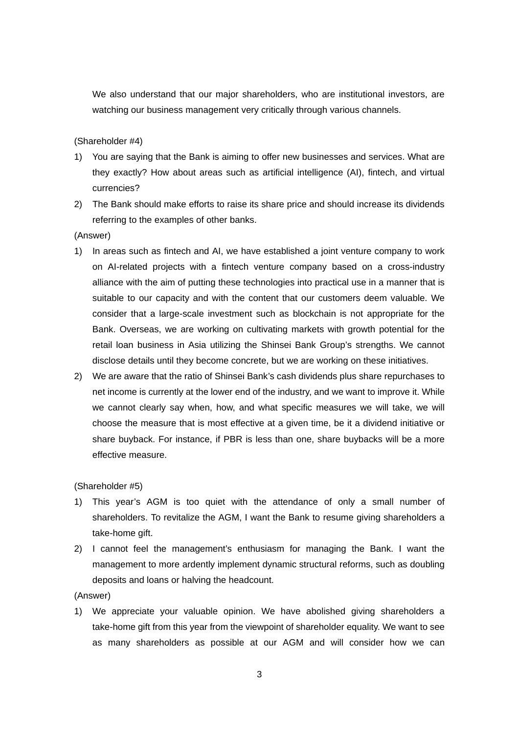We also understand that our major shareholders, who are institutional investors, are watching our business management very critically through various channels.

(Shareholder #4)

- 1) You are saying that the Bank is aiming to offer new businesses and services. What are they exactly? How about areas such as artificial intelligence (AI), fintech, and virtual currencies?
- 2) The Bank should make efforts to raise its share price and should increase its dividends referring to the examples of other banks.

(Answer)

- 1) In areas such as fintech and AI, we have established a joint venture company to work on AI-related projects with a fintech venture company based on a cross-industry alliance with the aim of putting these technologies into practical use in a manner that is suitable to our capacity and with the content that our customers deem valuable. We consider that a large-scale investment such as blockchain is not appropriate for the Bank. Overseas, we are working on cultivating markets with growth potential for the retail loan business in Asia utilizing the Shinsei Bank Group's strengths. We cannot disclose details until they become concrete, but we are working on these initiatives.
- 2) We are aware that the ratio of Shinsei Bank's cash dividends plus share repurchases to net income is currently at the lower end of the industry, and we want to improve it. While we cannot clearly say when, how, and what specific measures we will take, we will choose the measure that is most effective at a given time, be it a dividend initiative or share buyback. For instance, if PBR is less than one, share buybacks will be a more effective measure.

(Shareholder #5)

- 1) This year's AGM is too quiet with the attendance of only a small number of shareholders. To revitalize the AGM, I want the Bank to resume giving shareholders a take-home gift.
- 2) I cannot feel the management's enthusiasm for managing the Bank. I want the management to more ardently implement dynamic structural reforms, such as doubling deposits and loans or halving the headcount.

(Answer)

1) We appreciate your valuable opinion. We have abolished giving shareholders a take-home gift from this year from the viewpoint of shareholder equality. We want to see as many shareholders as possible at our AGM and will consider how we can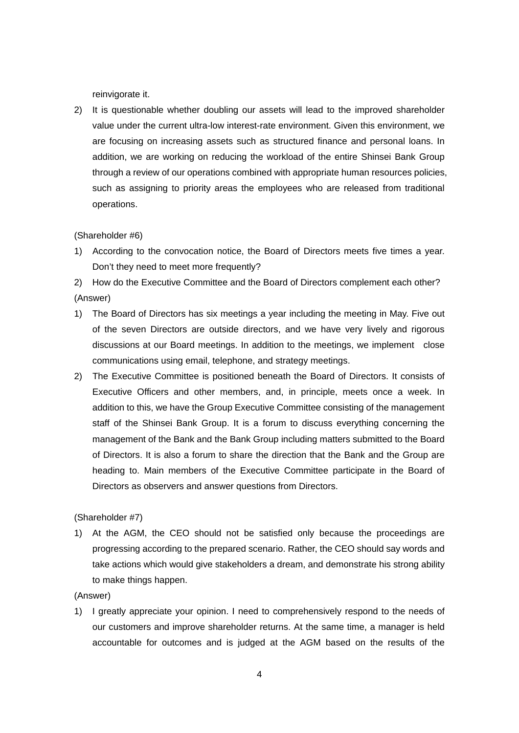reinvigorate it.

2) It is questionable whether doubling our assets will lead to the improved shareholder value under the current ultra-low interest-rate environment. Given this environment, we are focusing on increasing assets such as structured finance and personal loans. In addition, we are working on reducing the workload of the entire Shinsei Bank Group through a review of our operations combined with appropriate human resources policies, such as assigning to priority areas the employees who are released from traditional operations.

## (Shareholder #6)

1) According to the convocation notice, the Board of Directors meets five times a year. Don't they need to meet more frequently?

2) How do the Executive Committee and the Board of Directors complement each other? (Answer)

- 1) The Board of Directors has six meetings a year including the meeting in May. Five out of the seven Directors are outside directors, and we have very lively and rigorous discussions at our Board meetings. In addition to the meetings, we implement close communications using email, telephone, and strategy meetings.
- 2) The Executive Committee is positioned beneath the Board of Directors. It consists of Executive Officers and other members, and, in principle, meets once a week. In addition to this, we have the Group Executive Committee consisting of the management staff of the Shinsei Bank Group. It is a forum to discuss everything concerning the management of the Bank and the Bank Group including matters submitted to the Board of Directors. It is also a forum to share the direction that the Bank and the Group are heading to. Main members of the Executive Committee participate in the Board of Directors as observers and answer questions from Directors.

## (Shareholder #7)

1) At the AGM, the CEO should not be satisfied only because the proceedings are progressing according to the prepared scenario. Rather, the CEO should say words and take actions which would give stakeholders a dream, and demonstrate his strong ability to make things happen.

(Answer)

1) I greatly appreciate your opinion. I need to comprehensively respond to the needs of our customers and improve shareholder returns. At the same time, a manager is held accountable for outcomes and is judged at the AGM based on the results of the